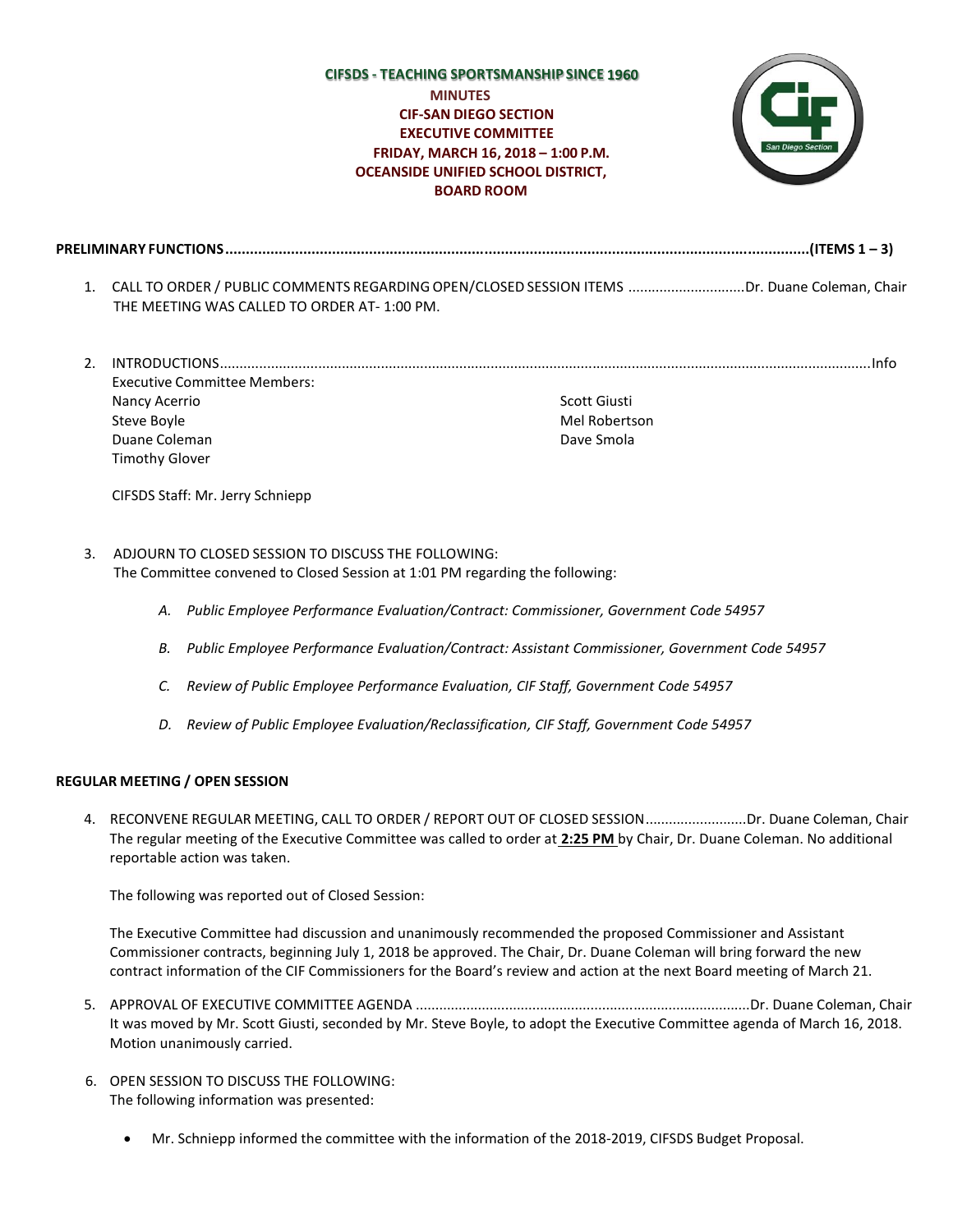## **CIFSDS - TEACHING SPORTSMANSHIP SINCE MINUTES CIF-SAN DIEGO SECTION EXECUTIVE COMMITTEE FRIDAY, MARCH 16, 2018 – 1:00 P.M. OCEANSIDE UNIFIED SCHOOL DISTRICT, BOARD ROOM**



**PRELIMINARY FUNCTIONS..............................................................................................................................................(ITEMS 1 – 3)**

- 1. CALL TO ORDER / PUBLIC COMMENTS REGARDINGOPEN/CLOSED SESSION ITEMS ..............................Dr. Duane Coleman, Chair THE MEETING WAS CALLED TO ORDER AT- 1:00 PM.
- 2. INTRODUCTIONS......................................................................................................................................................................Info Executive Committee Members: Nancy Acerrio Steve Boyle Duane Coleman Timothy Glover Scott Giusti Mel Robertson Dave Smola

CIFSDS Staff: Mr. Jerry Schniepp

## 3. ADJOURN TO CLOSED SESSION TO DISCUSS THE FOLLOWING: The Committee convened to Closed Session at 1:01 PM regarding the following:

- *A. Public Employee Performance Evaluation/Contract: Commissioner, Government Code 54957*
- *B. Public Employee Performance Evaluation/Contract: Assistant Commissioner, Government Code 54957*
- *C. Review of Public Employee Performance Evaluation, CIF Staff, Government Code 54957*
- *D. Review of Public Employee Evaluation/Reclassification, CIF Staff, Government Code 54957*

## **REGULAR MEETING / OPEN SESSION**

4. RECONVENE REGULAR MEETING, CALL TO ORDER / REPORT OUT OF CLOSED SESSION..........................Dr. Duane Coleman, Chair The regular meeting of the Executive Committee was called to order at **2:25 PM** by Chair, Dr. Duane Coleman. No additional reportable action was taken.

The following was reported out of Closed Session:

The Executive Committee had discussion and unanimously recommended the proposed Commissioner and Assistant Commissioner contracts, beginning July 1, 2018 be approved. The Chair, Dr. Duane Coleman will bring forward the new contract information of the CIF Commissioners for the Board's review and action at the next Board meeting of March 21.

- 5. APPROVAL OF EXECUTIVE COMMITTEE AGENDA ......................................................................................Dr. Duane Coleman, Chair It was moved by Mr. Scott Giusti, seconded by Mr. Steve Boyle, to adopt the Executive Committee agenda of March 16, 2018. Motion unanimously carried.
- 6. OPEN SESSION TO DISCUSS THE FOLLOWING: The following information was presented:
	- Mr. Schniepp informed the committee with the information of the 2018-2019, CIFSDS Budget Proposal.